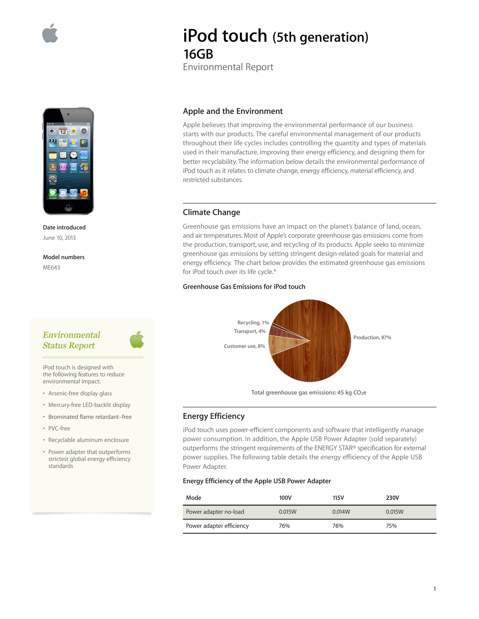

**Date introduced**  June 10, 2013

**Model numbers**  ME643

# Environmental **Status Report**

iPod touch is designed with the following features to reduce environmental impact:

- Arsenic-free display glass
- Mercury-free LED-backlit display
- Brominated flame retardant–free
- PVC-free
- Recyclable aluminum enclosure
- Power adapter that outperforms strictest global energy efficiency standards

# **iPod touch (5th generation) 16GB**

Environmental Report

## **Apple and the Environment**

Apple believes that improving the environmental performance of our business starts with our products. The careful environmental management of our products throughout their life cycles includes controlling the quantity and types of materials used in their manufacture, improving their energy efficiency, and designing them for better recyclability. The information below details the environmental performance of iPod touch as it relates to climate change, energy efficiency, material efficiency, and restricted substances.

## **Climate Change**

Greenhouse gas emissions have an impact on the planet's balance of land, ocean, and air temperatures. Most of Apple's corporate greenhouse gas emissions come from the production, transport, use, and recycling of its products. Apple seeks to minimize greenhouse gas emissions by setting stringent design-related goals for material and energy efficiency. The chart below provides the estimated greenhouse gas emissions for iPod touch over its life cycle.\*

#### **Greenhouse Gas Emissions for iPod touch**



Total greenhouse gas emissions: 45 kg CO<sub>2</sub>e

## **Energy Efficiency**

iPod touch uses power-efficient components and software that intelligently manage power consumption. In addition, the Apple USB Power Adapter (sold separately) outperforms the stringent requirements of the ENERGY STAR® specification for external power supplies. The following table details the energy efficiency of the Apple USB Power Adapter.

### **Energy Efficiency of the Apple USB Power Adapter**

| Mode                     | 100V   | 115V   | 230V   |
|--------------------------|--------|--------|--------|
| Power adapter no-load    | 0.015W | 0.014W | 0.015W |
| Power adapter efficiency | 76%    | 76%    | 75%    |

1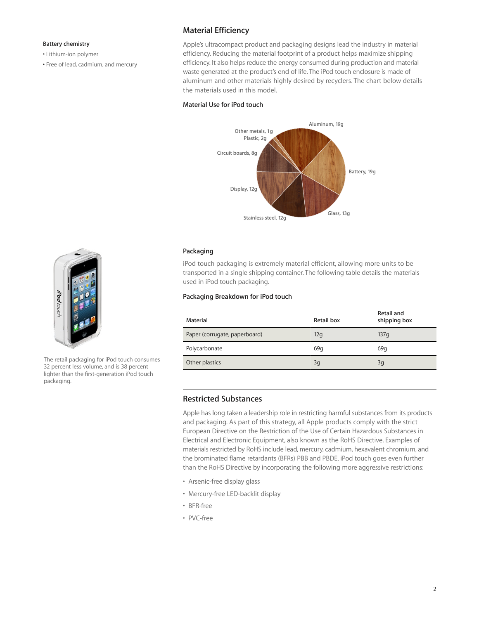#### **Battery chemistry**

• Lithium-ion polymer

• Free of lead, cadmium, and mercury

# **Material Efficiency**

Apple's ultracompact product and packaging designs lead the industry in material efficiency. Reducing the material footprint of a product helps maximize shipping efficiency. It also helps reduce the energy consumed during production and material waste generated at the product's end of life. The iPod touch enclosure is made of aluminum and other materials highly desired by recyclers. The chart below details the materials used in this model.

## **Material Use for iPod touch**



### **Packaging**

iPod touch packaging is extremely material efficient, allowing more units to be transported in a single shipping container. The following table details the materials used in iPod touch packaging.

### **Packaging Breakdown for iPod touch**

| Material                      | Retail box | <b>Retail and</b><br>shipping box |
|-------------------------------|------------|-----------------------------------|
| Paper (corrugate, paperboard) | 12q        | 137 <sub>q</sub>                  |
| Polycarbonate                 | 69q        | 69q                               |
| Other plastics                | 3g         | 3q                                |

## **Restricted Substances**

Apple has long taken a leadership role in restricting harmful substances from its products and packaging. As part of this strategy, all Apple products comply with the strict European Directive on the Restriction of the Use of Certain Hazardous Substances in Electrical and Electronic Equipment, also known as the RoHS Directive. Examples of materials restricted by RoHS include lead, mercury, cadmium, hexavalent chromium, and the brominated flame retardants (BFRs) PBB and PBDE. iPod touch goes even further than the RoHS Directive by incorporating the following more aggressive restrictions:

- Arsenic-free display glass
- Mercury-free LED-backlit display
- BFR-free
- PVC-free



The retail packaging for iPod touch consumes 32 percent less volume, and is 38 percent lighter than the first-generation iPod touch packaging.